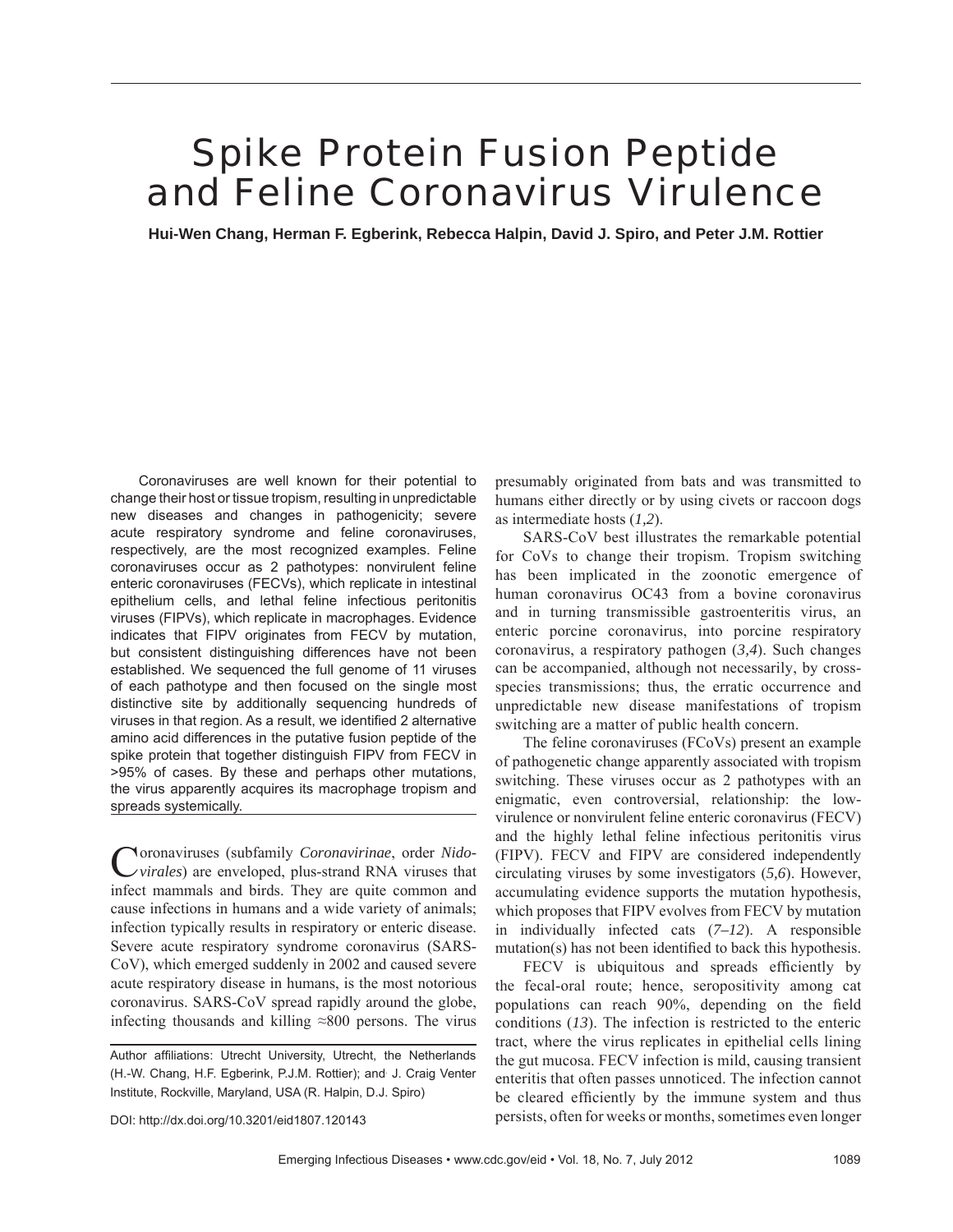# Spike Protein Fusion Peptide and Feline Coronavirus Virulence

**Hui-Wen Chang, Herman F. Egberink, Rebecca Halpin, David J. Spiro, and Peter J.M. Rottier**

Coronaviruses are well known for their potential to change their host or tissue tropism, resulting in unpredictable new diseases and changes in pathogenicity; severe acute respiratory syndrome and feline coronaviruses, respectively, are the most recognized examples. Feline coronaviruses occur as 2 pathotypes: nonvirulent feline enteric coronaviruses (FECVs), which replicate in intestinal epithelium cells, and lethal feline infectious peritonitis viruses (FIPVs), which replicate in macrophages. Evidence indicates that FIPV originates from FECV by mutation, but consistent distinguishing differences have not been established. We sequenced the full genome of 11 viruses of each pathotype and then focused on the single most distinctive site by additionally sequencing hundreds of viruses in that region. As a result, we identified 2 alternative amino acid differences in the putative fusion peptide of the spike protein that together distinguish FIPV from FECV in >95% of cases. By these and perhaps other mutations, the virus apparently acquires its macrophage tropism and spreads systemically.

Coronaviruses (subfamily *Coronavirinae*, order *Nido-virales*) are enveloped, plus-strand RNA viruses that infect mammals and birds. They are quite common and cause infections in humans and a wide variety of animals; infection typically results in respiratory or enteric disease. Severe acute respiratory syndrome coronavirus (SARS-CoV), which emerged suddenly in 2002 and caused severe acute respiratory disease in humans, is the most notorious coronavirus. SARS-CoV spread rapidly around the globe, infecting thousands and killing ≈800 persons. The virus

Author affiliations: Utrecht University, Utrecht, the Netherlands (H.-W. Chang, H.F. Egberink, P.J.M. Rottier); and. J. Craig Venter Institute, Rockville, Maryland, USA (R. Halpin, D.J. Spiro)

presumably originated from bats and was transmitted to humans either directly or by using civets or raccoon dogs as intermediate hosts (*1,2*).

SARS-CoV best illustrates the remarkable potential for CoVs to change their tropism. Tropism switching has been implicated in the zoonotic emergence of human coronavirus OC43 from a bovine coronavirus and in turning transmissible gastroenteritis virus, an enteric porcine coronavirus, into porcine respiratory coronavirus, a respiratory pathogen (*3,4*). Such changes can be accompanied, although not necessarily, by crossspecies transmissions; thus, the erratic occurrence and unpredictable new disease manifestations of tropism switching are a matter of public health concern.

The feline coronaviruses (FCoVs) present an example of pathogenetic change apparently associated with tropism switching. These viruses occur as 2 pathotypes with an enigmatic, even controversial, relationship: the lowvirulence or nonvirulent feline enteric coronavirus (FECV) and the highly lethal feline infectious peritonitis virus (FIPV). FECV and FIPV are considered independently circulating viruses by some investigators (*5,6*). However, accumulating evidence supports the mutation hypothesis, which proposes that FIPV evolves from FECV by mutation in individually infected cats (*7–12*). A responsible  $mutation(s)$  has not been identified to back this hypothesis.

FECV is ubiquitous and spreads efficiently by the fecal-oral route; hence, seropositivity among cat populations can reach 90%, depending on the field conditions (*13*). The infection is restricted to the enteric tract, where the virus replicates in epithelial cells lining the gut mucosa. FECV infection is mild, causing transient enteritis that often passes unnoticed. The infection cannot be cleared efficiently by the immune system and thus persists, often for weeks or months, sometimes even longer

DOI: http://dx.doi.org/10.3201/eid1807.120143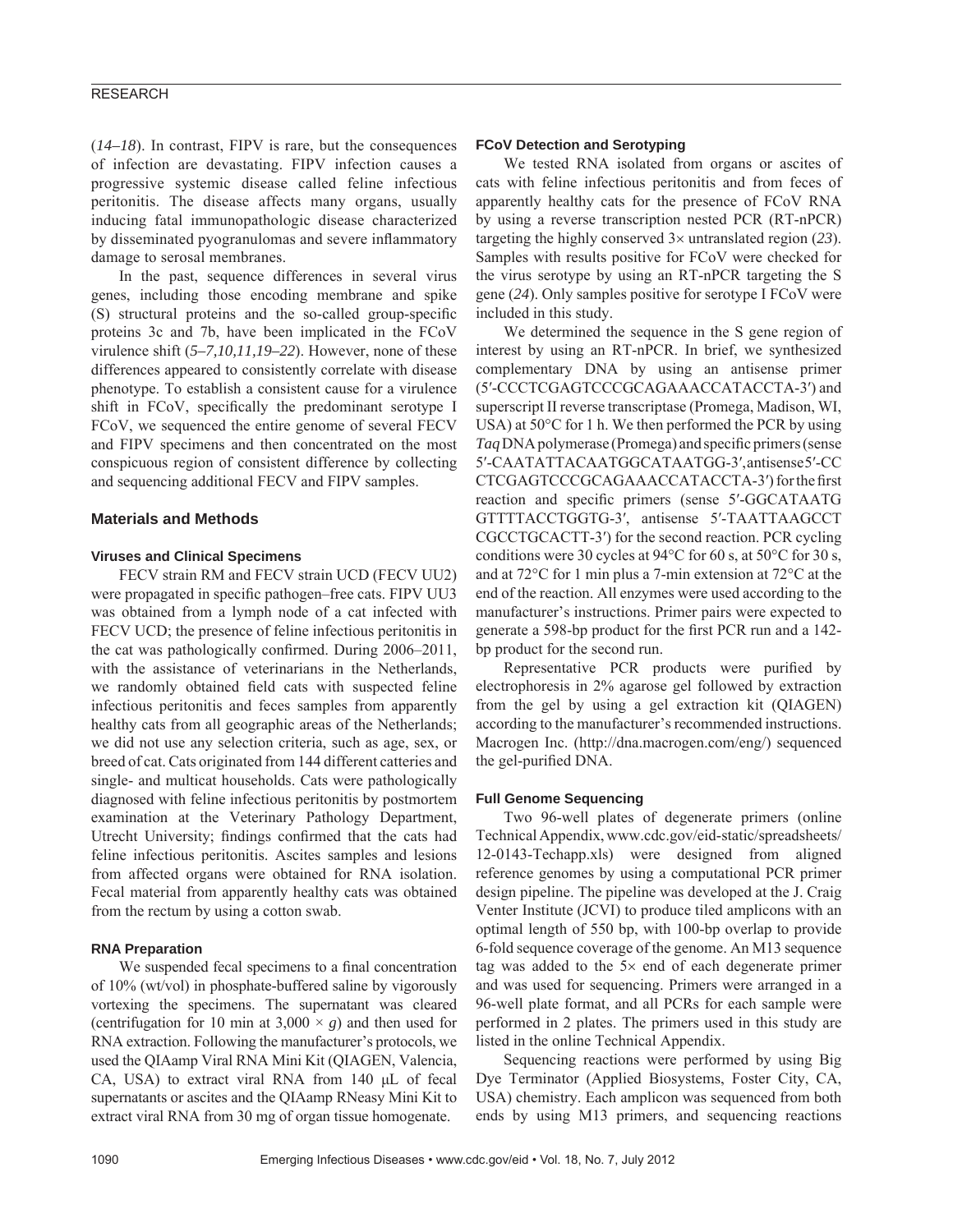# RESEARCH

(*14–18*). In contrast, FIPV is rare, but the consequences of infection are devastating. FIPV infection causes a progressive systemic disease called feline infectious peritonitis. The disease affects many organs, usually inducing fatal immunopathologic disease characterized by disseminated pyogranulomas and severe inflammatory damage to serosal membranes.

In the past, sequence differences in several virus genes, including those encoding membrane and spike (S) structural proteins and the so-called group-specific proteins 3c and 7b, have been implicated in the FCoV virulence shift (*5–7,10,11,19–22*). However, none of these differences appeared to consistently correlate with disease phenotype. To establish a consistent cause for a virulence shift in FCoV, specifically the predominant serotype I FCoV, we sequenced the entire genome of several FECV and FIPV specimens and then concentrated on the most conspicuous region of consistent difference by collecting and sequencing additional FECV and FIPV samples.

# **Materials and Methods**

#### **Viruses and Clinical Specimens**

FECV strain RM and FECV strain UCD (FECV UU2) were propagated in specific pathogen–free cats. FIPV UU3 was obtained from a lymph node of a cat infected with FECV UCD; the presence of feline infectious peritonitis in the cat was pathologically confirmed. During 2006–2011, with the assistance of veterinarians in the Netherlands, we randomly obtained field cats with suspected feline infectious peritonitis and feces samples from apparently healthy cats from all geographic areas of the Netherlands; we did not use any selection criteria, such as age, sex, or breed of cat. Cats originated from 144 different catteries and single- and multicat households. Cats were pathologically diagnosed with feline infectious peritonitis by postmortem examination at the Veterinary Pathology Department, Utrecht University; findings confirmed that the cats had feline infectious peritonitis. Ascites samples and lesions from affected organs were obtained for RNA isolation. Fecal material from apparently healthy cats was obtained from the rectum by using a cotton swab.

## **RNA Preparation**

We suspended fecal specimens to a final concentration of 10% (wt/vol) in phosphate-buffered saline by vigorously vortexing the specimens. The supernatant was cleared (centrifugation for 10 min at  $3,000 \times g$ ) and then used for RNA extraction. Following the manufacturer's protocols, we used the QIAamp Viral RNA Mini Kit (QIAGEN, Valencia, CA, USA) to extract viral RNA from 140 μL of fecal supernatants or ascites and the QIAamp RNeasy Mini Kit to extract viral RNA from 30 mg of organ tissue homogenate.

## **FCoV Detection and Serotyping**

We tested RNA isolated from organs or ascites of cats with feline infectious peritonitis and from feces of apparently healthy cats for the presence of FCoV RNA by using a reverse transcription nested PCR (RT-nPCR) targeting the highly conserved 3× untranslated region (*23*). Samples with results positive for FCoV were checked for the virus serotype by using an RT-nPCR targeting the S gene (*24*). Only samples positive for serotype I FCoV were included in this study.

We determined the sequence in the S gene region of interest by using an RT-nPCR. In brief, we synthesized complementary DNA by using an antisense primer (5′-CCCTCGAGTCCCGCAGAAACCATACCTA-3′) and superscript II reverse transcriptase (Promega, Madison, WI, USA) at 50°C for 1 h. We then performed the PCR by using *Taq* DNA polymerase (Promega) and specific primers (sense 5′-CAATATTACAATGGCATAATGG-3′, antisense 5′-CC CTCGAGTCCCGCAGAAACCATACCTA-3') for the first reaction and specific primers (sense 5'-GGCATAATG GTTTTACCTGGTG-3′, antisense 5′-TAATTAAGCCT CGCCTGCACTT-3′) for the second reaction. PCR cycling conditions were 30 cycles at 94°С for 60 s, at 50°С for 30 s, and at 72°С for 1 min plus a 7-min extension at 72°С at the end of the reaction. All enzymes were used according to the manufacturer's instructions. Primer pairs were expected to generate a 598-bp product for the first PCR run and a 142bp product for the second run.

Representative PCR products were purified by electrophoresis in 2% agarose gel followed by extraction from the gel by using a gel extraction kit (QIAGEN) according to the manufacturer's recommended instructions. Macrogen Inc. (http://dna.macrogen.com/eng/) sequenced the gel-purified DNA.

#### **Full Genome Sequencing**

Two 96-well plates of degenerate primers (online Technical Appendix, www.cdc.gov/eid-static/spreadsheets/ 12-0143-Techapp.xls) were designed from aligned reference genomes by using a computational PCR primer design pipeline. The pipeline was developed at the J. Craig Venter Institute (JCVI) to produce tiled amplicons with an optimal length of 550 bp, with 100-bp overlap to provide 6-fold sequence coverage of the genome. An M13 sequence tag was added to the 5× end of each degenerate primer and was used for sequencing. Primers were arranged in a 96-well plate format, and all PCRs for each sample were performed in 2 plates. The primers used in this study are listed in the online Technical Appendix.

Sequencing reactions were performed by using Big Dye Terminator (Applied Biosystems, Foster City, CA, USA) chemistry. Each amplicon was sequenced from both ends by using M13 primers, and sequencing reactions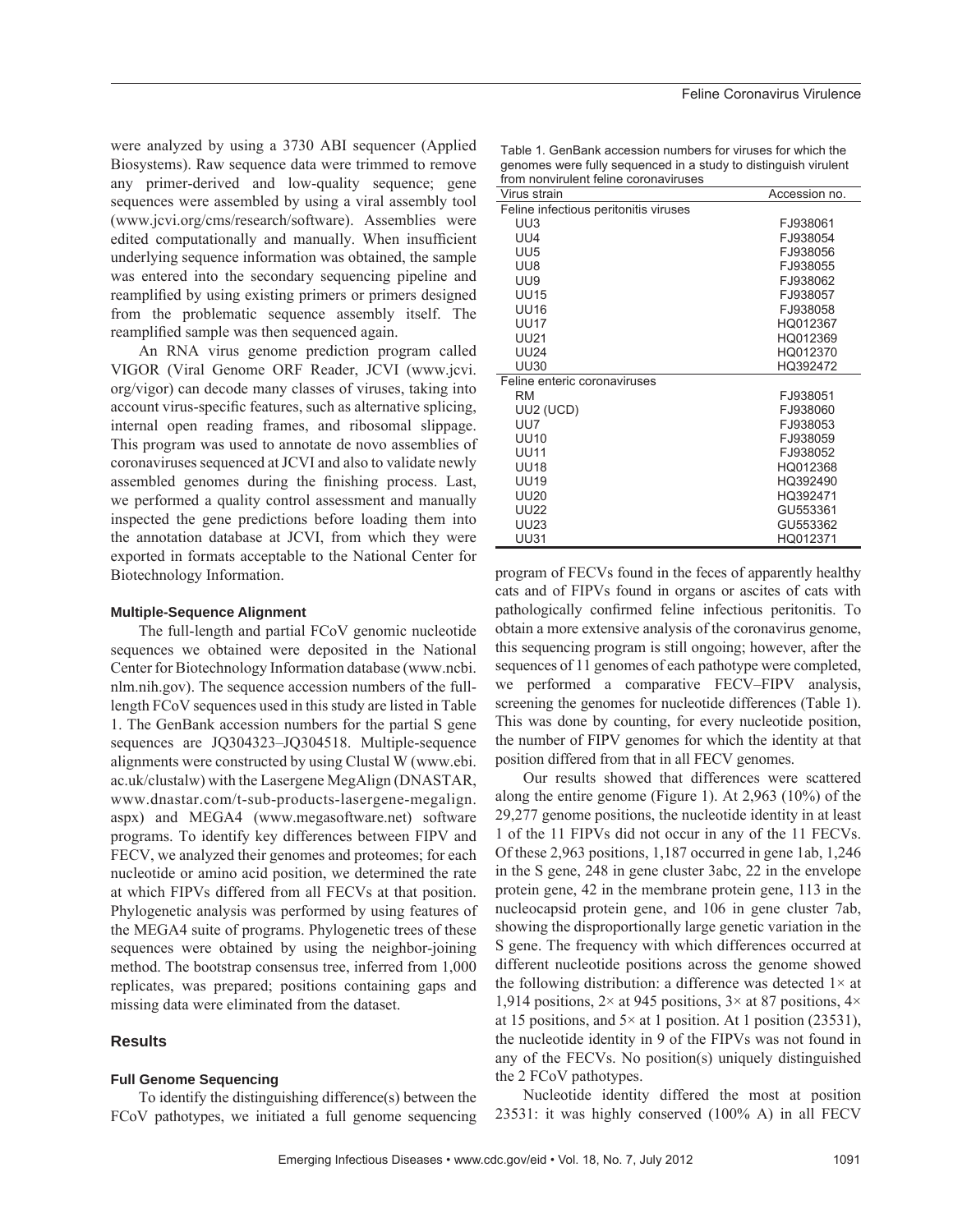were analyzed by using a 3730 ABI sequencer (Applied Biosystems). Raw sequence data were trimmed to remove any primer-derived and low-quality sequence; gene sequences were assembled by using a viral assembly tool (www.jcvi.org/cms/research/software). Assemblies were edited computationally and manually. When insufficient underlying sequence information was obtained, the sample was entered into the secondary sequencing pipeline and reamplified by using existing primers or primers designed from the problematic sequence assembly itself. The reamplified sample was then sequenced again.

An RNA virus genome prediction program called VIGOR (Viral Genome ORF Reader, JCVI (www.jcvi. org/vigor) can decode many classes of viruses, taking into account virus-specific features, such as alternative splicing, internal open reading frames, and ribosomal slippage. This program was used to annotate de novo assemblies of coronaviruses sequenced at JCVI and also to validate newly assembled genomes during the finishing process. Last, we performed a quality control assessment and manually inspected the gene predictions before loading them into the annotation database at JCVI, from which they were exported in formats acceptable to the National Center for Biotechnology Information.

## **Multiple-Sequence Alignment**

The full-length and partial FCoV genomic nucleotide sequences we obtained were deposited in the National Center for Biotechnology Information database (www.ncbi. nlm.nih.gov). The sequence accession numbers of the fulllength FCoV sequences used in this study are listed in Table 1. The GenBank accession numbers for the partial S gene sequences are JQ304323–JQ304518. Multiple-sequence alignments were constructed by using Clustal W (www.ebi. ac.uk/clustalw) with the Lasergene MegAlign (DNASTAR, www.dnastar.com/t-sub-products-lasergene-megalign. aspx) and MEGA4 (www.megasoftware.net) software programs. To identify key differences between FIPV and FECV, we analyzed their genomes and proteomes; for each nucleotide or amino acid position, we determined the rate at which FIPVs differed from all FECVs at that position. Phylogenetic analysis was performed by using features of the MEGA4 suite of programs. Phylogenetic trees of these sequences were obtained by using the neighbor-joining method. The bootstrap consensus tree, inferred from 1,000 replicates, was prepared; positions containing gaps and missing data were eliminated from the dataset.

#### **Results**

# **Full Genome Sequencing**

To identify the distinguishing difference(s) between the FCoV pathotypes, we initiated a full genome sequencing

| Table 1. GenBank accession numbers for viruses for which the    |
|-----------------------------------------------------------------|
| genomes were fully sequenced in a study to distinguish virulent |
| from nonvirulent feline coronaviruses                           |

| Virus strain                          | Accession no. |
|---------------------------------------|---------------|
| Feline infectious peritonitis viruses |               |
| UU3                                   | FJ938061      |
| UU4                                   | FJ938054      |
| UU <sub>5</sub>                       | FJ938056      |
| UU8                                   | FJ938055      |
| UU9                                   | FJ938062      |
| <b>UU15</b>                           | FJ938057      |
| <b>UU16</b>                           | FJ938058      |
| <b>UU17</b>                           | HQ012367      |
| <b>UU21</b>                           | HQ012369      |
| <b>UU24</b>                           | HQ012370      |
| <b>UU30</b>                           | HQ392472      |
| Feline enteric coronaviruses          |               |
| <b>RM</b>                             | FJ938051      |
| UU2 (UCD)                             | FJ938060      |
| UU7                                   | FJ938053      |
| <b>UU10</b>                           | FJ938059      |
| <b>UU11</b>                           | FJ938052      |
| <b>UU18</b>                           | HQ012368      |
| <b>UU19</b>                           | HQ392490      |
| <b>UU20</b>                           | HQ392471      |
| <b>UU22</b>                           | GU553361      |
| <b>UU23</b>                           | GU553362      |
| <b>UU31</b>                           | HQ012371      |

program of FECVs found in the feces of apparently healthy cats and of FIPVs found in organs or ascites of cats with pathologically confirmed feline infectious peritonitis. To obtain a more extensive analysis of the coronavirus genome, this sequencing program is still ongoing; however, after the sequences of 11 genomes of each pathotype were completed, we performed a comparative FECV–FIPV analysis, screening the genomes for nucleotide differences (Table 1). This was done by counting, for every nucleotide position, the number of FIPV genomes for which the identity at that position differed from that in all FECV genomes.

Our results showed that differences were scattered along the entire genome (Figure 1). At 2,963 (10%) of the 29,277 genome positions, the nucleotide identity in at least 1 of the 11 FIPVs did not occur in any of the 11 FECVs. Of these 2,963 positions, 1,187 occurred in gene 1ab, 1,246 in the S gene, 248 in gene cluster 3abc, 22 in the envelope protein gene, 42 in the membrane protein gene, 113 in the nucleocapsid protein gene, and 106 in gene cluster 7ab, showing the disproportionally large genetic variation in the S gene. The frequency with which differences occurred at different nucleotide positions across the genome showed the following distribution: a difference was detected  $1\times$  at 1,914 positions,  $2 \times$  at 945 positions,  $3 \times$  at 87 positions,  $4 \times$ at 15 positions, and  $5 \times$  at 1 position. At 1 position (23531), the nucleotide identity in 9 of the FIPVs was not found in any of the FECVs. No position(s) uniquely distinguished the 2 FCoV pathotypes.

Nucleotide identity differed the most at position 23531: it was highly conserved (100% A) in all FECV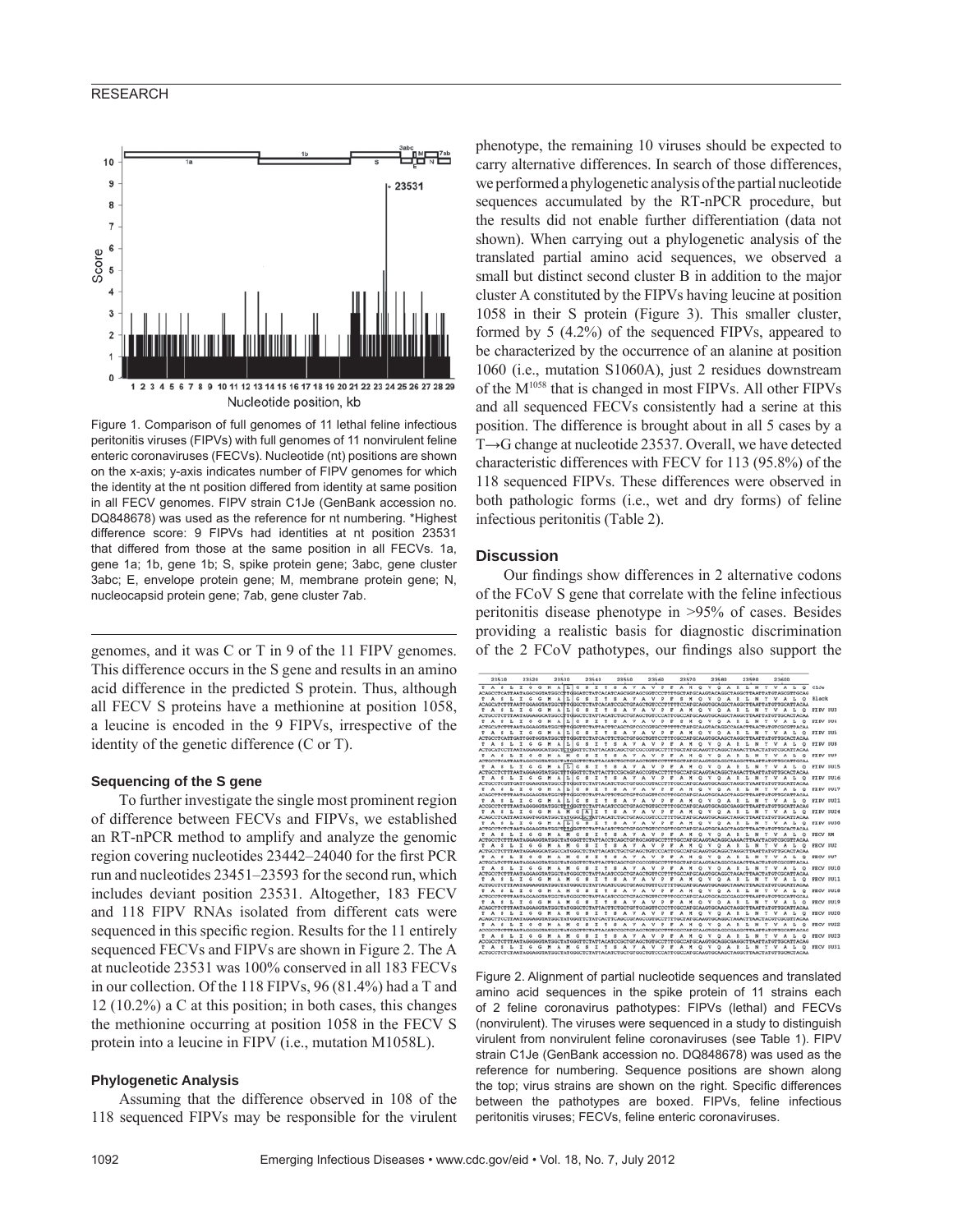# RESEARCH



Figure 1. Comparison of full genomes of 11 lethal feline infectious peritonitis viruses (FIPVs) with full genomes of 11 nonvirulent feline enteric coronaviruses (FECVs). Nucleotide (nt) positions are shown on the x-axis; y-axis indicates number of FIPV genomes for which the identity at the nt position differed from identity at same position in all FECV genomes. FIPV strain C1Je (GenBank accession no. DQ848678) was used as the reference for nt numbering. \*Highest difference score: 9 FIPVs had identities at nt position 23531 that differed from those at the same position in all FECVs. 1a, gene 1a; 1b, gene 1b; S, spike protein gene; 3abc, gene cluster 3abc; E, envelope protein gene; M, membrane protein gene; N, nucleocapsid protein gene; 7ab, gene cluster 7ab.

genomes, and it was C or T in 9 of the 11 FIPV genomes. This difference occurs in the S gene and results in an amino acid difference in the predicted S protein. Thus, although all FECV S proteins have a methionine at position 1058, a leucine is encoded in the 9 FIPVs, irrespective of the identity of the genetic difference (C or T).

## **Sequencing of the S gene**

To further investigate the single most prominent region of difference between FECVs and FIPVs, we established an RT-nPCR method to amplify and analyze the genomic region covering nucleotides 23442–24040 for the first PCR run and nucleotides 23451–23593 for the second run, which includes deviant position 23531. Altogether, 183 FECV and 118 FIPV RNAs isolated from different cats were sequenced in this specific region. Results for the 11 entirely sequenced FECVs and FIPVs are shown in Figure 2. The A at nucleotide 23531 was 100% conserved in all 183 FECVs in our collection. Of the 118 FIPVs, 96 (81.4%) had a T and 12 (10.2%) a C at this position; in both cases, this changes the methionine occurring at position 1058 in the FECV S protein into a leucine in FIPV (i.e., mutation M1058L).

## **Phylogenetic Analysis**

Assuming that the difference observed in 108 of the 118 sequenced FIPVs may be responsible for the virulent

phenotype, the remaining 10 viruses should be expected to carry alternative differences. In search of those differences, we performed a phylogenetic analysis of the partial nucleotide sequences accumulated by the RT-nPCR procedure, but the results did not enable further differentiation (data not shown). When carrying out a phylogenetic analysis of the translated partial amino acid sequences, we observed a small but distinct second cluster B in addition to the major cluster A constituted by the FIPVs having leucine at position 1058 in their S protein (Figure 3). This smaller cluster, formed by 5 (4.2%) of the sequenced FIPVs, appeared to be characterized by the occurrence of an alanine at position 1060 (i.e., mutation S1060A), just 2 residues downstream of the M1058 that is changed in most FIPVs. All other FIPVs and all sequenced FECVs consistently had a serine at this position. The difference is brought about in all 5 cases by a T→G change at nucleotide 23537. Overall, we have detected characteristic differences with FECV for 113 (95.8%) of the 118 sequenced FIPVs. These differences were observed in both pathologic forms (i.e., wet and dry forms) of feline infectious peritonitis (Table 2).

# **Discussion**

Our findings show differences in 2 alternative codons of the FCoV S gene that correlate with the feline infectious peritonitis disease phenotype in >95% of cases. Besides providing a realistic basis for diagnostic discrimination of the 2 FCoV pathotypes, our findings also support the

| 23510                                                                                                                    | 23520 | 23530 | 23540 | 23550 | 23560 | 23570 | 23580 | 23590 | 23600 |  |  |
|--------------------------------------------------------------------------------------------------------------------------|-------|-------|-------|-------|-------|-------|-------|-------|-------|--|--|
| TASLIGGHALIGSITSAVAVPPANOVOARLNYVALO C13e                                                                                |       |       |       |       |       |       |       |       |       |  |  |
|                                                                                                                          |       |       |       |       |       |       |       |       |       |  |  |
| T A S L I G G H A L G S I T S A V A V P F S M O V O A R L N Y V A L O Black                                              |       |       |       |       |       |       |       |       |       |  |  |
| ACAGCATCTTTAATTGGAGGTATGGCTUTGGGCTCTATCACATCCGCTGTAGCTGTCCCTTTTTCCATGCAGGTGCAGGCTAGGCTTAATTATGTTGCATTACAA                |       |       |       |       |       |       |       |       |       |  |  |
| T A S L I G G H A L G S I T S A V A V P F A H Q V Q A R L N Y V A L Q FIFV UU3                                           |       |       |       |       |       |       |       |       |       |  |  |
| ACTGCCTCTTTAATAGGAGGCATGGCCTTQGGCTCTATTACATCTGCTGTAGCTGTCCCATTCGCCATGCAAGTGCAGGCTAGGCTTAATTATGTTGCACTACAA                |       |       |       |       |       |       |       |       |       |  |  |
| T A S L I G G H A L G S I T S A V A V P F S H O V O A R L N Y V A L O FIFVUU4                                            |       |       |       |       |       |       |       |       |       |  |  |
| ACTGCATCTTTAATAGGAGGTATGGCTTTTGGGTTCTATTACTTCAGCTGTCGCCGTGCCTTTTTCTATGCAAGTACAGGCCAGACTTAACTATGTCGCGTTACAA               |       |       |       |       |       |       |       |       |       |  |  |
| T A S L I G G H A L G S I T S A V A V P F A M Q V Q A R L N Y V A L Q FIFV UUS                                           |       |       |       |       |       |       |       |       |       |  |  |
| ACTGCCTCATTGATTGGTGGTATGGCTETGGGTTCTATCACTTCTGCTGTGGCTGTTCCPTTCGCCATGCAAGTGCAAGCTAGGCTTAATTATGTTGCACTACAA                |       |       |       |       |       |       |       |       |       |  |  |
| T A S L I G G H A L G S I T S A V A V P F A H O V O A R L N Y V A L O FIPV UU8                                           |       |       |       |       |       |       |       |       |       |  |  |
| ACTOCATCCTTAATAGGAGGCATGGCTCTGTGD3TTCTATTACATCAGCTGTCGCCGTGCCCTTTTGCTATGCAAGTTCAGGCTAGACTTAACTATGTCGCATTACAA             |       |       |       |       |       |       |       |       |       |  |  |
| T A S L I G G H A K G S I T S A V A V P F A H Q V Q A R L N Y V A L Q FIFV UU9                                           |       |       |       |       |       |       |       |       |       |  |  |
| ACTGCCTCATTAATAGGCGGTATGGCTATGGGTTCTATTACATCTGCTGTAGCTGTTCCTTTTGCTATGCAAGTGCAGGCTAGGCTTAATTATGTTGCATTGCAA                |       |       |       |       |       |       |       |       |       |  |  |
| T A S L I G G H A L G S I T S A V A V P F A H O V O A R L N Y V A L O FIFV UULS                                          |       |       |       |       |       |       |       |       |       |  |  |
| ACTGCCTCTTTAATAGGAGGTATGGCTTTGGGTTCTATTACTTCCGCAGTAGCCGTACCTTTTGCCATGCAAGTACAGGCTAGACTTAATTATGTTGCACTACAA                |       |       |       |       |       |       |       |       |       |  |  |
| T A S L I G G H A L G S I T S A V A V P F A H O V O A R L N Y V A L O FIFV UU16                                          |       |       |       |       |       |       |       |       |       |  |  |
| ACTGCCTCGTTGATTGGAGGTATGGCCTFGGGTTCTATTACATCTGCTGTGGCCGTACCTTTCGCCATGCAAGTGCAGGCTAGGCTYAATTATGTGCATTACAA                 |       |       |       |       |       |       |       |       |       |  |  |
| T A S L I G G H A L G S I T S A V A V P F A H O V O A R L N Y V A L O FIFV UU17                                          |       |       |       |       |       |       |       |       |       |  |  |
| ACAGCTTCTTTAATAGGAGGTATGGCTTTGGGCTCTATTACTTCTGCTGTTGCAGTTCGCCTTCGCCATGCAAGTGCAAGCTAGGCTTAATTATGTGCATTACAA                |       |       |       |       |       |       |       |       |       |  |  |
| T A S L I G G H A L G S I T S A V A V P F A H O V O A R L N Y V A L O FIFV UU21                                          |       |       |       |       |       |       |       |       |       |  |  |
| ACCGCCTCTTTAATAGGGGGTATGGCTETGGGTTCTATTACATCCGCTGTAGCTGTGCCTTTCGCCATGCAAGTGCAGGCGAGGCTTAATTATGTTGCATTACAG                |       |       |       |       |       |       |       |       |       |  |  |
| T A S L I G G H A K G A I T S A V A V P F A K O V O A R L N Y V A L O FIFV 0024                                          |       |       |       |       |       |       |       |       |       |  |  |
|                                                                                                                          |       |       |       |       |       |       |       |       |       |  |  |
| TASLIGGHALOSITSAVAVPFAMOVOARLNYVALO FIFVUU30                                                                             |       |       |       |       |       |       |       |       |       |  |  |
| ACTGCCTCTCTAATAGGAGGTATGGCT <mark>TTGGGTTCTATTACATCTGCTGTGGCTGTCCCOSTTCGCCATGCAAGTGCAAGCTAGGCTTAACTATGTTGCACTACAA</mark> |       |       |       |       |       |       |       |       |       |  |  |
| T A S L I G G H A H G S I T S A V A V P F A H O V O A R L N Y V A L O FECVEM                                             |       |       |       |       |       |       |       |       |       |  |  |
| ACTGCCTCTTTAATAGGAGGTATGGCTATGGGTTCTATTACCTCAGCTGTRGCAGTGCCTTTTGCCATGCAAGTACAGGCAAGACTTAAYTACGTCGCGTTACAA                |       |       |       |       |       |       |       |       |       |  |  |
| T A S L I G G H A M G S I T S A V A V P F A M Q V Q A R L N Y V A L Q FECVUU2                                            |       |       |       |       |       |       |       |       |       |  |  |
| ACTGCCTCTTTAATAGGAGGCATGGCCATGGGCTCTATTACATCTGCTGTAGCTGTCCCATTCGCCATGCAAGTGCAGGCTAGGCTTAATTATGTGCACTACAA                 |       |       |       |       |       |       |       |       |       |  |  |
| T A S L I G G H A M G S I T S A V A V P F A M O V O A R L N Y V A L O FECVUUT                                            |       |       |       |       |       |       |       |       |       |  |  |
| ACTGCATCTTTAATAGGAGGTATGGCTATGGGTTCTATTACTTCAGCTGTCGCCGTGCCTTTTGCTATGCAAGTACAGGCCAGACTTAACTATGTCGCGTTACAA                |       |       |       |       |       |       |       |       |       |  |  |
| T A S L I G G H A H G S I T S A V A V P F A H Q V Q A R L N Y V A L Q FECV UU10                                          |       |       |       |       |       |       |       |       |       |  |  |
| ACTOCCTCTTTAATAGGAGGTATGGCTATGGGCTCTATTACATCCGCTGTAGCTGTTCCTTTTGCCATGCAAGTGCAGGCTAGACTTAACTATGTCGCATTACAA                |       |       |       |       |       |       |       |       |       |  |  |
| T A S L I G G H A H G S I T S A V A V P F A H Q V Q A R L N Y V A L Q FECV UULL                                          |       |       |       |       |       |       |       |       |       |  |  |
| ACTGCCTCTTTAATAGGAGGTATGGCTATGGGCTCTATTACATGCGCTGTAGCTGTTCCTTTTGCCATGCAAGTGCAGGCTAGACTTAACTATGTCGCATTACAA                |       |       |       |       |       |       |       |       |       |  |  |
| T A S L I G G H A M G S I T S A V A V P F A M O V O A R L N Y V A L O FECVUOLS                                           |       |       |       |       |       |       |       |       |       |  |  |
| ACTGCCTCTTTAATAGGAGGTATGGCTATGGGCTCTATTACATCCGCTGTAGCTGTTCCTTTCGCCATGCAAGTGCAGGCGAGGCTTAATTATGTTGCATTGCAA                |       |       |       |       |       |       |       |       |       |  |  |
|                                                                                                                          |       |       |       |       |       |       |       |       |       |  |  |
| T A S L I G G H A H G S I T S A V A V P F A H O V O A R L N Y V A L O FECV UU19                                          |       |       |       |       |       |       |       |       |       |  |  |
| ACAGCTTCTTTAATAGGAGGTATGGCTATGGGCTCTATTACTTCTGCTGTTGCAGTTCGCCTTCGCCATGCAAGTGCAAGCTAGGCTTAATTATGTGCATTACAA                |       |       |       |       |       |       |       |       |       |  |  |
| T A S L I G G H A H G S I T S A V A V P F A H O V O A R L N Y V A L O FECV 0020                                          |       |       |       |       |       |       |       |       |       |  |  |
| ACAGCTTCCTTAATAGGAGGTATGGCTATGGGTTCTATCACTTCAGCCGTAGCCGTGCCTTTTGCTATGCAAGTGCAGGCYAGACTTAACTACGTCGCGTTACAA                |       |       |       |       |       |       |       |       |       |  |  |
| T A S L I G G H A K G S I T S A V A V P F A K Q V Q A R L N Y V A L Q FECV UU22                                          |       |       |       |       |       |       |       |       |       |  |  |
| ACCGCCTCTTTANTAGGGGGTATGGCTATGGGTTCTATTACATCCGCTGTAGCTGTGCCTTTCGCCATGCAAGTGCAGGCGAGGCTTAATTATGTTGCATTACAG                |       |       |       |       |       |       |       |       |       |  |  |
| T A S L I G G H A M G S I T S A V A V P F A M O V O A R L N Y V A L O FECVUU23                                           |       |       |       |       |       |       |       |       |       |  |  |
| ACCGCCTCTTTAATAGGGGGTATGGCTATGGGTTCTATTACATCCGCTGTAGCTGTGCCTTTCGCCATGCAAGTGCAGGCGAGGCTTAATTATGTTGCATTACAG                |       |       |       |       |       |       |       |       |       |  |  |
| T A S L I G G H A H G S I T S A V A V P F A H O V O A R L N Y V A L O FECV UU31                                          |       |       |       |       |       |       |       |       |       |  |  |
| ACTGCCTCTCTAATAGGAGGTATGGCTATGGGCTCTATTACATCTGCTGTGGCTGTCCCATTCGCCATGCAAGTGCAAGCTAGGCTTAACTATGTTGCHCTACAA                |       |       |       |       |       |       |       |       |       |  |  |

Figure 2. Alignment of partial nucleotide sequences and translated amino acid sequences in the spike protein of 11 strains each of 2 feline coronavirus pathotypes: FIPVs (lethal) and FECVs (nonvirulent). The viruses were sequenced in a study to distinguish virulent from nonvirulent feline coronaviruses (see Table 1). FIPV strain C1Je (GenBank accession no. DQ848678) was used as the reference for numbering. Sequence positions are shown along the top; virus strains are shown on the right. Specific differences between the pathotypes are boxed. FIPVs, feline infectious peritonitis viruses; FECVs, feline enteric coronaviruses.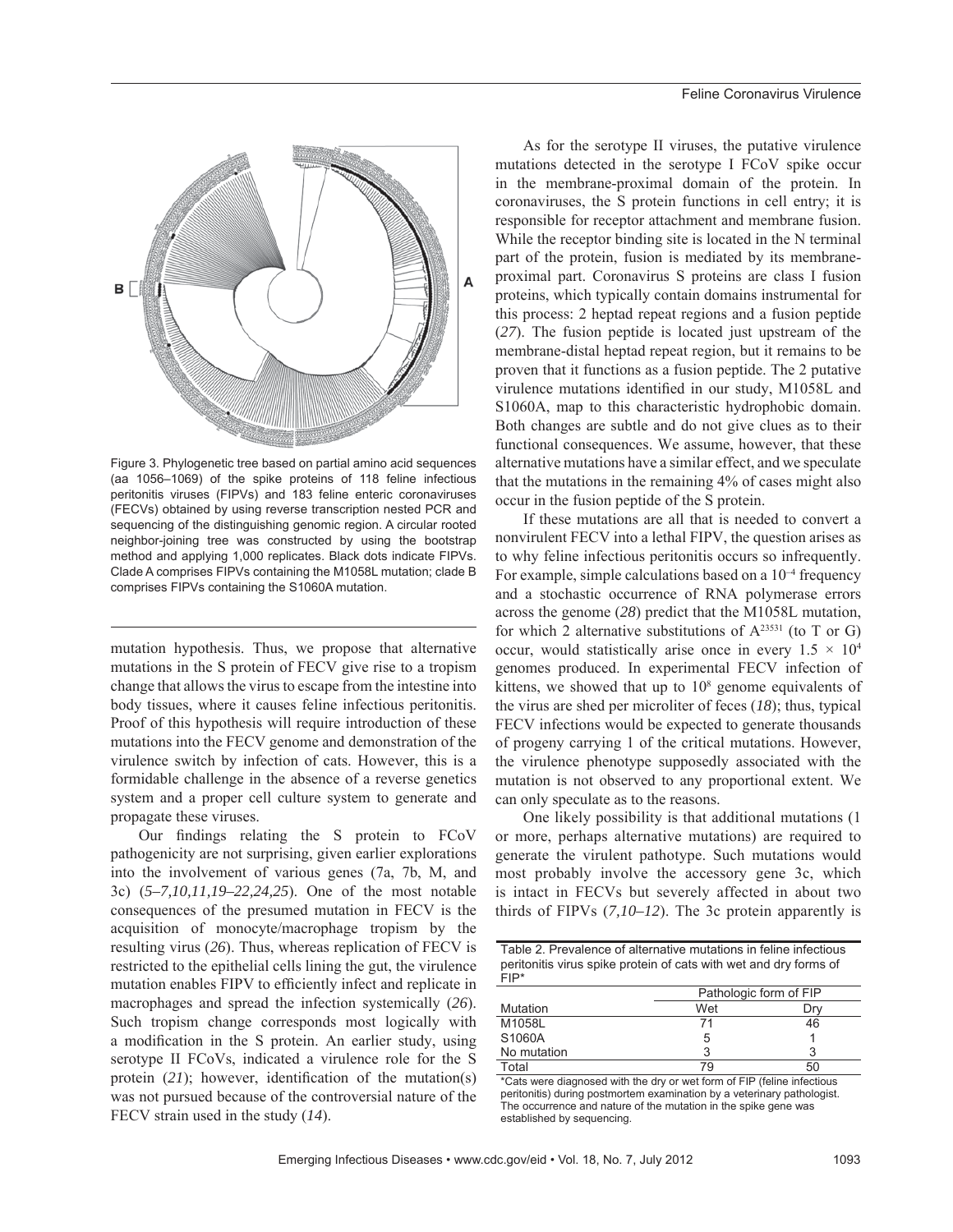

Figure 3. Phylogenetic tree based on partial amino acid sequences (aa 1056–1069) of the spike proteins of 118 feline infectious peritonitis viruses (FIPVs) and 183 feline enteric coronaviruses (FECVs) obtained by using reverse transcription nested PCR and sequencing of the distinguishing genomic region. A circular rooted neighbor-joining tree was constructed by using the bootstrap method and applying 1,000 replicates. Black dots indicate FIPVs. Clade A comprises FIPVs containing the M1058L mutation; clade B comprises FIPVs containing the S1060A mutation.

mutation hypothesis. Thus, we propose that alternative mutations in the S protein of FECV give rise to a tropism change that allows the virus to escape from the intestine into body tissues, where it causes feline infectious peritonitis. Proof of this hypothesis will require introduction of these mutations into the FECV genome and demonstration of the virulence switch by infection of cats. However, this is a formidable challenge in the absence of a reverse genetics system and a proper cell culture system to generate and propagate these viruses.

Our findings relating the S protein to FCoV pathogenicity are not surprising, given earlier explorations into the involvement of various genes (7a, 7b, M, and 3c) (*5–7,10,11,19–22,24,25*). One of the most notable consequences of the presumed mutation in FECV is the acquisition of monocyte/macrophage tropism by the resulting virus (*26*). Thus, whereas replication of FECV is restricted to the epithelial cells lining the gut, the virulence mutation enables FIPV to efficiently infect and replicate in macrophages and spread the infection systemically (*26*). Such tropism change corresponds most logically with a modification in the S protein. An earlier study, using serotype II FCoVs, indicated a virulence role for the S protein  $(21)$ ; however, identification of the mutation(s) was not pursued because of the controversial nature of the FECV strain used in the study (*14*).

As for the serotype II viruses, the putative virulence mutations detected in the serotype I FCoV spike occur in the membrane-proximal domain of the protein. In coronaviruses, the S protein functions in cell entry; it is responsible for receptor attachment and membrane fusion. While the receptor binding site is located in the N terminal part of the protein, fusion is mediated by its membraneproximal part. Coronavirus S proteins are class I fusion proteins, which typically contain domains instrumental for this process: 2 heptad repeat regions and a fusion peptide (*27*). The fusion peptide is located just upstream of the membrane-distal heptad repeat region, but it remains to be proven that it functions as a fusion peptide. The 2 putative virulence mutations identified in our study, M1058L and S1060A, map to this characteristic hydrophobic domain. Both changes are subtle and do not give clues as to their functional consequences. We assume, however, that these alternative mutations have a similar effect, and we speculate that the mutations in the remaining 4% of cases might also occur in the fusion peptide of the S protein.

If these mutations are all that is needed to convert a nonvirulent FECV into a lethal FIPV, the question arises as to why feline infectious peritonitis occurs so infrequently. For example, simple calculations based on a 10<sup>−</sup><sup>4</sup> frequency and a stochastic occurrence of RNA polymerase errors across the genome (*28*) predict that the M1058L mutation, for which 2 alternative substitutions of  $A^{23531}$  (to T or G) occur, would statistically arise once in every  $1.5 \times 10^4$ genomes produced. In experimental FECV infection of kittens, we showed that up to  $10<sup>8</sup>$  genome equivalents of the virus are shed per microliter of feces (*18*); thus, typical FECV infections would be expected to generate thousands of progeny carrying 1 of the critical mutations. However, the virulence phenotype supposedly associated with the mutation is not observed to any proportional extent. We can only speculate as to the reasons.

One likely possibility is that additional mutations (1 or more, perhaps alternative mutations) are required to generate the virulent pathotype. Such mutations would most probably involve the accessory gene 3c, which is intact in FECVs but severely affected in about two thirds of FIPVs (*7,10–12*). The 3c protein apparently is

| Table 2. Prevalence of alternative mutations in feline infectious |
|-------------------------------------------------------------------|
| peritonitis virus spike protein of cats with wet and dry forms of |
| $FIP*$                                                            |

|             |     | Pathologic form of FIP |  |  |  |  |  |
|-------------|-----|------------------------|--|--|--|--|--|
| Mutation    | Wet |                        |  |  |  |  |  |
| M1058L      | 71  | 46                     |  |  |  |  |  |
| S1060A      | 5   |                        |  |  |  |  |  |
| No mutation |     |                        |  |  |  |  |  |
| Total       | 79  | 50                     |  |  |  |  |  |

\*Cats were diagnosed with the dry or wet form of FIP (feline infectious peritonitis) during postmortem examination by a veterinary pathologist. The occurrence and nature of the mutation in the spike gene was established by sequencing.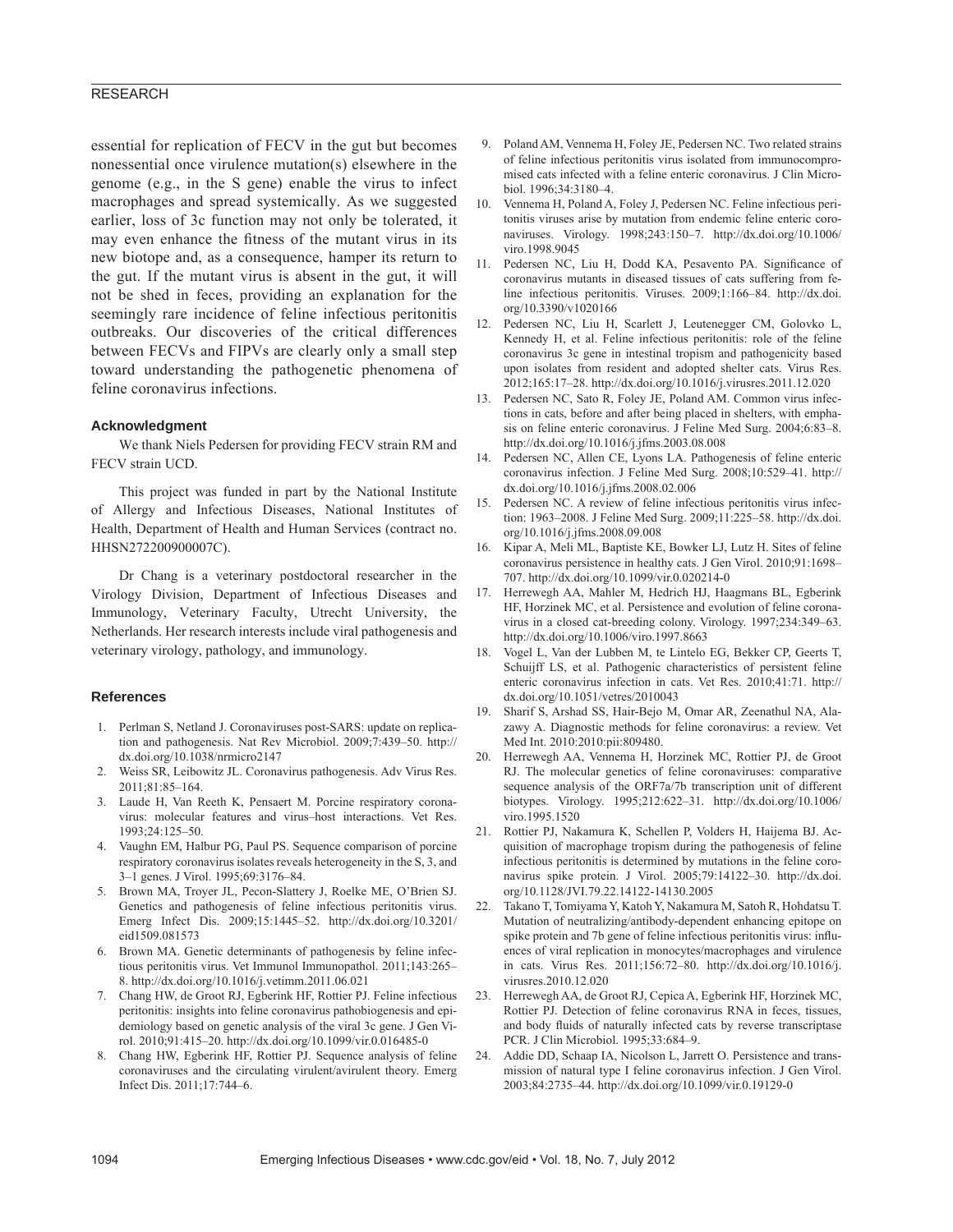# RESEARCH

essential for replication of FECV in the gut but becomes nonessential once virulence mutation(s) elsewhere in the genome (e.g., in the S gene) enable the virus to infect macrophages and spread systemically. As we suggested earlier, loss of 3c function may not only be tolerated, it may even enhance the fitness of the mutant virus in its new biotope and, as a consequence, hamper its return to the gut. If the mutant virus is absent in the gut, it will not be shed in feces, providing an explanation for the seemingly rare incidence of feline infectious peritonitis outbreaks. Our discoveries of the critical differences between FECVs and FIPVs are clearly only a small step toward understanding the pathogenetic phenomena of feline coronavirus infections.

#### **Acknowledgment**

We thank Niels Pedersen for providing FECV strain RM and FECV strain UCD.

This project was funded in part by the National Institute of Allergy and Infectious Diseases, National Institutes of Health, Department of Health and Human Services (contract no. HHSN272200900007C).

Dr Chang is a veterinary postdoctoral researcher in the Virology Division, Department of Infectious Diseases and Immunology, Veterinary Faculty, Utrecht University, the Netherlands. Her research interests include viral pathogenesis and veterinary virology, pathology, and immunology.

#### **References**

- 1. Perlman S, Netland J. Coronaviruses post-SARS: update on replication and pathogenesis. Nat Rev Microbiol. 2009;7:439–50. http:// dx.doi.org/10.1038/nrmicro2147
- 2. Weiss SR, Leibowitz JL. Coronavirus pathogenesis. Adv Virus Res. 2011;81:85–164.
- 3. Laude H, Van Reeth K, Pensaert M. Porcine respiratory coronavirus: molecular features and virus–host interactions. Vet Res. 1993;24:125–50.
- 4. Vaughn EM, Halbur PG, Paul PS. Sequence comparison of porcine respiratory coronavirus isolates reveals heterogeneity in the S, 3, and 3–1 genes. J Virol. 1995;69:3176–84.
- 5. Brown MA, Troyer JL, Pecon-Slattery J, Roelke ME, O'Brien SJ. Genetics and pathogenesis of feline infectious peritonitis virus. Emerg Infect Dis. 2009;15:1445–52. http://dx.doi.org/10.3201/ eid1509.081573
- 6. Brown MA. Genetic determinants of pathogenesis by feline infectious peritonitis virus. Vet Immunol Immunopathol. 2011;143:265-8. http://dx.doi.org/10.1016/j.vetimm.2011.06.021
- 7. Chang HW, de Groot RJ, Egberink HF, Rottier PJ. Feline infectious peritonitis: insights into feline coronavirus pathobiogenesis and epidemiology based on genetic analysis of the viral 3c gene. J Gen Virol. 2010;91:415–20. http://dx.doi.org/10.1099/vir.0.016485-0
- 8. Chang HW, Egberink HF, Rottier PJ. Sequence analysis of feline coronaviruses and the circulating virulent/avirulent theory. Emerg Infect Dis. 2011;17:744–6.
- 9. Poland AM, Vennema H, Foley JE, Pedersen NC. Two related strains of feline infectious peritonitis virus isolated from immunocompromised cats infected with a feline enteric coronavirus. J Clin Microbiol. 1996;34:3180–4.
- 10. Vennema H, Poland A, Foley J, Pedersen NC. Feline infectious peritonitis viruses arise by mutation from endemic feline enteric coronaviruses. Virology. 1998;243:150–7. http://dx.doi.org/10.1006/ viro.1998.9045
- 11. Pedersen NC, Liu H, Dodd KA, Pesavento PA. Significance of coronavirus mutants in diseased tissues of cats suffering from feline infectious peritonitis. Viruses. 2009;1:166–84. http://dx.doi. org/10.3390/v1020166
- 12. Pedersen NC, Liu H, Scarlett J, Leutenegger CM, Golovko L, Kennedy H, et al. Feline infectious peritonitis: role of the feline coronavirus 3c gene in intestinal tropism and pathogenicity based upon isolates from resident and adopted shelter cats. Virus Res. 2012;165:17–28. http://dx.doi.org/10.1016/j.virusres.2011.12.020
- 13. Pedersen NC, Sato R, Foley JE, Poland AM. Common virus infections in cats, before and after being placed in shelters, with emphasis on feline enteric coronavirus. J Feline Med Surg. 2004;6:83–8. http://dx.doi.org/10.1016/j.jfms.2003.08.008
- 14. Pedersen NC, Allen CE, Lyons LA. Pathogenesis of feline enteric coronavirus infection. J Feline Med Surg. 2008;10:529–41. http:// dx.doi.org/10.1016/j.jfms.2008.02.006
- 15. Pedersen NC. A review of feline infectious peritonitis virus infection: 1963–2008. J Feline Med Surg. 2009;11:225–58. http://dx.doi. org/10.1016/j.jfms.2008.09.008
- 16. Kipar A, Meli ML, Baptiste KE, Bowker LJ, Lutz H. Sites of feline coronavirus persistence in healthy cats. J Gen Virol. 2010;91:1698– 707. http://dx.doi.org/10.1099/vir.0.020214-0
- 17. Herrewegh AA, Mahler M, Hedrich HJ, Haagmans BL, Egberink HF, Horzinek MC, et al. Persistence and evolution of feline coronavirus in a closed cat-breeding colony. Virology. 1997;234:349–63. http://dx.doi.org/10.1006/viro.1997.8663
- 18. Vogel L, Van der Lubben M, te Lintelo EG, Bekker CP, Geerts T, Schuijff LS, et al. Pathogenic characteristics of persistent feline enteric coronavirus infection in cats. Vet Res. 2010;41:71. http:// dx.doi.org/10.1051/vetres/2010043
- 19. Sharif S, Arshad SS, Hair-Bejo M, Omar AR, Zeenathul NA, Alazawy A. Diagnostic methods for feline coronavirus: a review. Vet Med Int. 2010:2010:pii:809480.
- 20. Herrewegh AA, Vennema H, Horzinek MC, Rottier PJ, de Groot RJ. The molecular genetics of feline coronaviruses: comparative sequence analysis of the ORF7a/7b transcription unit of different biotypes. Virology. 1995;212:622–31. http://dx.doi.org/10.1006/ viro.1995.1520
- 21. Rottier PJ, Nakamura K, Schellen P, Volders H, Haijema BJ. Acquisition of macrophage tropism during the pathogenesis of feline infectious peritonitis is determined by mutations in the feline coronavirus spike protein. J Virol. 2005;79:14122–30. http://dx.doi. org/10.1128/JVI.79.22.14122-14130.2005
- 22. Takano T, Tomiyama Y, Katoh Y, Nakamura M, Satoh R, Hohdatsu T. Mutation of neutralizing/antibody-dependent enhancing epitope on spike protein and 7b gene of feline infectious peritonitis virus: influences of viral replication in monocytes/macrophages and virulence in cats. Virus Res. 2011;156:72–80. http://dx.doi.org/10.1016/j. virusres.2010.12.020
- 23. Herrewegh AA, de Groot RJ, Cepica A, Egberink HF, Horzinek MC, Rottier PJ. Detection of feline coronavirus RNA in feces, tissues, and body fluids of naturally infected cats by reverse transcriptase PCR. J Clin Microbiol. 1995;33:684–9.
- 24. Addie DD, Schaap IA, Nicolson L, Jarrett O. Persistence and transmission of natural type I feline coronavirus infection. J Gen Virol. 2003;84:2735–44. http://dx.doi.org/10.1099/vir.0.19129-0